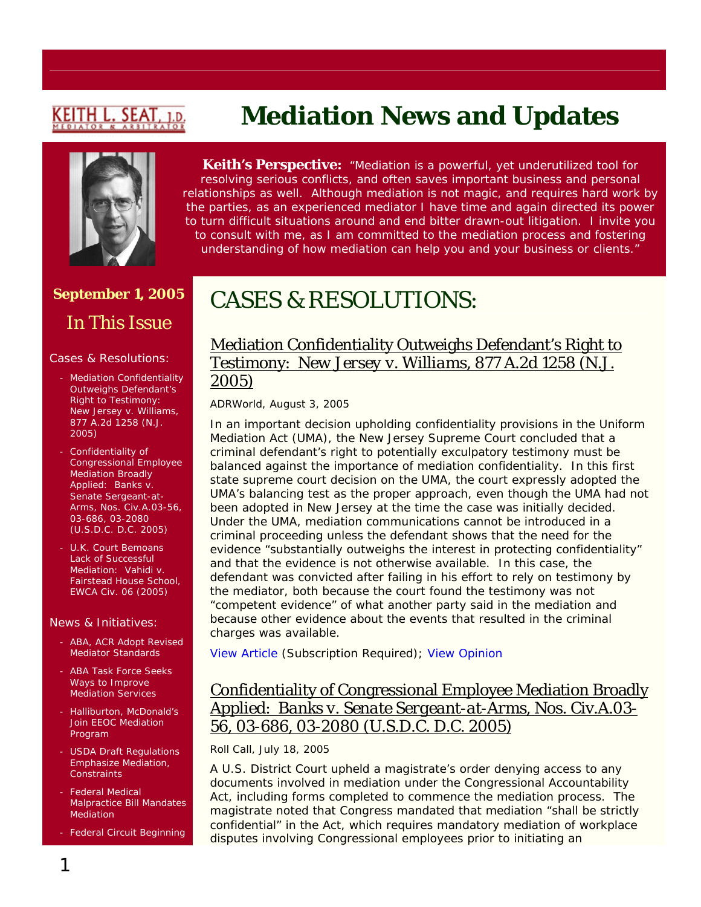# <u>KEITH L. SEAT</u>

## **September 1, 2005**  In This Issue

#### Cases & Resolutions:

- Mediation Confidentiality Outweighs Defendant's Right to Testimony: *New Jersey v. Williams*, 877 A.2d 1258 (N.J. 2005)
- Confidentiality of Congressional Employee Mediation Broadly Applied: *Banks v. Senate Sergeant-at-Arms*, Nos. Civ.A.03-56, 03-686, 03-2080 (U.S.D.C. D.C. 2005)
- U.K. Court Bemoans Lack of Successful Mediation: *Vahidi v. Fairstead House School*, EWCA Civ. 06 (2005)

#### News & Initiatives:

- ABA, ACR Adopt Revised Mediator Standards
- ABA Task Force Seeks Ways to Improve Mediation Services
- Halliburton, McDonald's Join EEOC Mediation Program
- USDA Draft Regulations Emphasize Mediation, **Constraints**
- Federal Medical Malpractice Bill Mandates Mediation

- Federal Circuit Beginning

# **Mediation News and Updates**

**Keith's Perspective:** *"Mediation is a powerful, yet underutilized tool for resolving serious conflicts, and often saves important business and personal relationships as well. Although mediation is not magic, and requires hard work by the parties, as an experienced mediator I have time and again directed its power to turn difficult situations around and end bitter drawn-out litigation. I invite you to consult with me, as I am committed to the mediation process and fostering understanding of how mediation can help you and your business or clients."*

## CASES & RESOLUTIONS:

## Mediation Confidentiality Outweighs Defendant's Right to Testimony: *New Jersey v. Williams*, 877 A.2d 1258 (N.J. 2005)

#### *ADRWorld*, August 3, 2005

In an important decision upholding confidentiality provisions in the Uniform Mediation Act (UMA), the New Jersey Supreme Court concluded that a criminal defendant's right to potentially exculpatory testimony must be balanced against the importance of mediation confidentiality. In this first state supreme court decision on the UMA, the court expressly adopted the UMA's balancing test as the proper approach, even though the UMA had not been adopted in New Jersey at the time the case was initially decided. Under the UMA, mediation communications cannot be introduced in a criminal proceeding unless the defendant shows that the need for the evidence "substantially outweighs the interest in protecting confidentiality" and that the evidence is not otherwise available. In this case, the defendant was convicted after failing in his effort to rely on testimony by the mediator, both because the court found the testimony was not "competent evidence" of what another party said in the mediation and because other evidence about the events that resulted in the criminal charges was available.

[View Article](http://www.adrworld.com/sp.asp?id=38732) (Subscription Required); [View Opinion](http://lawlibrary.rutgers.edu/decisions/supreme/a-61-04.opn.html)

## Confidentiality of Congressional Employee Mediation Broadly Applied: *Banks v. Senate Sergeant-at-Arms*, Nos. Civ.A.03- 56, 03-686, 03-2080 (U.S.D.C. D.C. 2005)

#### *Roll Call*, July 18, 2005

A U.S. District Court upheld a magistrate's order denying access to any documents involved in mediation under the Congressional Accountability Act, including forms completed to commence the mediation process. The magistrate noted that Congress mandated that mediation "shall be strictly confidential" in the Act, which requires mandatory mediation of workplace disputes involving Congressional employees prior to initiating an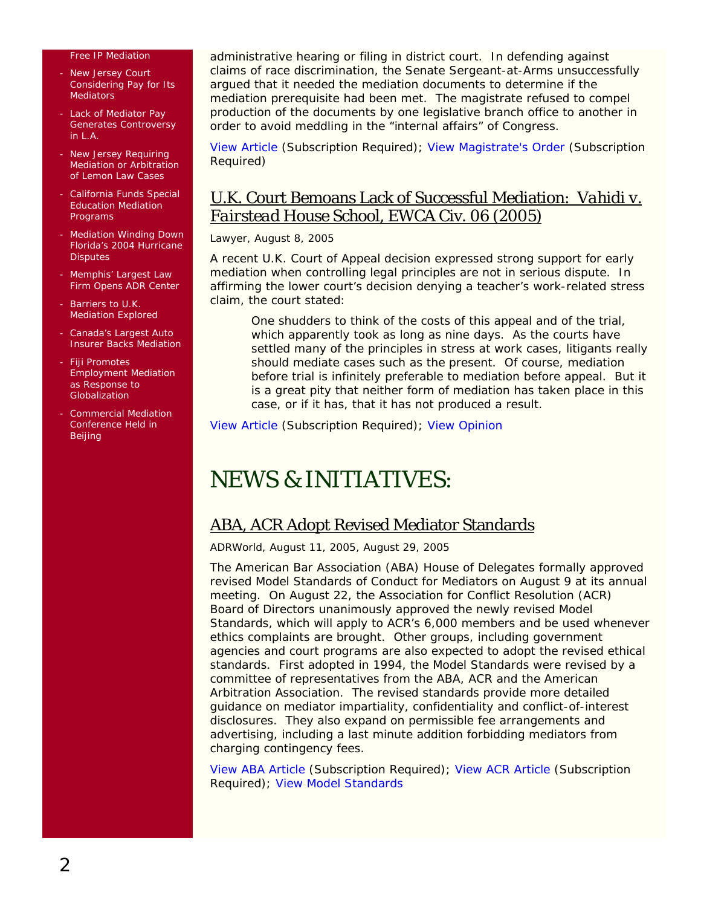#### Free IP Mediation

- New Jersey Court Considering Pay for Its **Mediators**
- Lack of Mediator Pay Generates Controversy in L.A.
- New Jersey Requiring Mediation or Arbitration of Lemon Law Cases
- California Funds Special Education Mediation Programs
- **Mediation Winding Down** Florida's 2004 Hurricane **Disputes**
- Memphis' Largest Law Firm Opens ADR Center
- Barriers to U.K. Mediation Explored
- Canada's Largest Auto Insurer Backs Mediation
- Fiji Promotes Employment Mediation as Response to Globalization
- Commercial Mediation Conference Held in Beijing

administrative hearing or filing in district court. In defending against claims of race discrimination, the Senate Sergeant-at-Arms unsuccessfully argued that it needed the mediation documents to determine if the mediation prerequisite had been met. The magistrate refused to compel production of the documents by one legislative branch office to another in order to avoid meddling in the "internal affairs" of Congress.

[View Article](http://web2.westlaw.com/find/default.wl?mt=LawSchoolPractitioner&fn=_top&sv=Split&cite=2005+WLNR+11241349&rp=%2ffind%2fdefault.wl&vr=2.0&rs=WLW5.08) (Subscription Required); [View Magistrate's Order](http://web2.westlaw.com/search/default.wl?rs=WLW5.08&db=ALLFEDS&sskey=CLID_SSSA442779&query=TI(BANKS+%26+SeRGEANT-AT-ARMS)&action=Search&mt=LawSchoolPractitioner&vr=2.0&method=TNC&sv=Split&rp=%2fsearch%2fdefault.wl&fn=_top) (Subscription Required)

### U.K. Court Bemoans Lack of Successful Mediation: *Vahidi v. Fairstead House School*, EWCA Civ. 06 (2005)

#### *Lawyer*, August 8, 2005

A recent U.K. Court of Appeal decision expressed strong support for early mediation when controlling legal principles are not in serious dispute. In affirming the lower court's decision denying a teacher's work-related stress claim, the court stated:

One shudders to think of the costs of this appeal and of the trial, which apparently took as long as nine days. As the courts have settled many of the principles in stress at work cases, litigants really should mediate cases such as the present. Of course, mediation before trial is infinitely preferable to mediation before appeal. But it is a great pity that neither form of mediation has taken place in this case, or if it has, that it has not produced a result.

[View Article](http://web2.westlaw.com/search/default.wl?cfid=1&tf=500&rltdb=CLID_DB541779&vr=2.0&fcl=False&eq=search&ss=CNT&ssrc=3&sv=Split&cxt=RL&n=2&action=EditQuery&origin=Search&mt=LawSchoolPractitioner&blinkedcitelist=False&scxt=WL&rp=%2fsearch%2fdefault.w) (Subscription Required); [View Opinion](http://www.cedr.co.uk/library/edr_law/Vahidi_v_Fairstead.pdf))

## NEWS & INITIATIVES:

## ABA, ACR Adopt Revised Mediator Standards

#### *ADRWorld*, August 11, 2005, August 29, 2005

The American Bar Association (ABA) House of Delegates formally approved revised *Model Standards of Conduct for Mediators* on August 9 at its annual meeting. On August 22, the Association for Conflict Resolution (ACR) Board of Directors unanimously approved the newly revised *Model Standards*, which will apply to ACR's 6,000 members and be used whenever ethics complaints are brought. Other groups, including government agencies and court programs are also expected to adopt the revised ethical standards. First adopted in 1994, the *Model Standards* were revised by a committee of representatives from the ABA, ACR and the American Arbitration Association. The revised standards provide more detailed guidance on mediator impartiality, confidentiality and conflict-of-interest disclosures. They also expand on permissible fee arrangements and advertising, including a last minute addition forbidding mediators from charging contingency fees.

[View ABA Article](http://www.adrworld.com/sp.asp?id=38764) (Subscription Required); [View ACR Article](http://www.adrworld.com/sp.asp?id=38825) (Subscription Required); View *[Model Standards](http://www.abanet.org/dispute/news/ModelStandardsofConductforMediatorsfinal05.pdf)*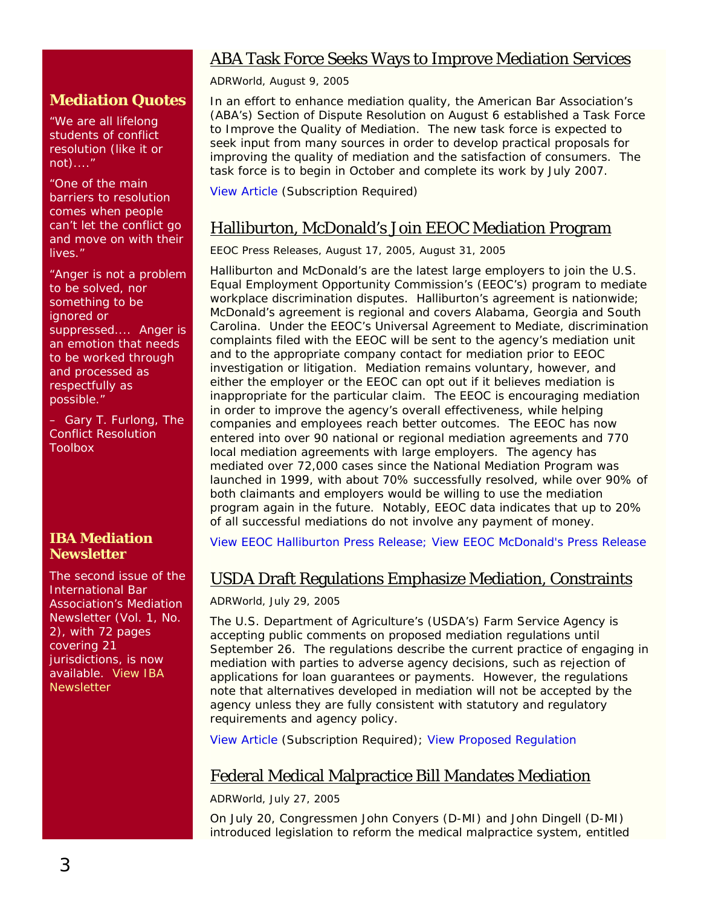## ABA Task Force Seeks Ways to Improve Mediation Services

*ADRWorld*, August 9, 2005

### **Mediation Quotes**

'We are all lifelong students of conflict resolution (like it or not)...."

"One of the main barriers to resolution comes when people can't let the conflict go and move on with their lives."

"Anger is not a problem to be solved, nor something to be ignored or suppressed.... Anger is an emotion that needs to be worked through and processed as respectfully as possible."

– Gary T. Furlong, *The Conflict Resolution Toolbox*

## **IBA Mediation Newsletter**

The second issue of the International Bar Association's Mediation Newsletter (Vol. 1, No. 2), with 72 pages covering 21 jurisdictions, is now available. [View IBA](http://www.ibanet.org/images/downloads/Mediation_Aug_05.pdf)  **[Newsletter](http://www.ibanet.org/images/downloads/Mediation_Aug_05.pdf)** 

In an effort to enhance mediation quality, the American Bar Association's (ABA's) Section of Dispute Resolution on August 6 established a Task Force to Improve the Quality of Mediation. The new task force is expected to seek input from many sources in order to develop practical proposals for improving the quality of mediation and the satisfaction of consumers. The task force is to begin in October and complete its work by July 2007.

[View Article](http://www.adrworld.com/sp.asp?id=38754) (Subscription Required)

## Halliburton, McDonald's Join EEOC Mediation Program

*EEOC Press Releases*, August 17, 2005, August 31, 2005

Halliburton and McDonald's are the latest large employers to join the U.S. Equal Employment Opportunity Commission's (EEOC's) program to mediate workplace discrimination disputes. Halliburton's agreement is nationwide; McDonald's agreement is regional and covers Alabama, Georgia and South Carolina. Under the EEOC's Universal Agreement to Mediate, discrimination complaints filed with the EEOC will be sent to the agency's mediation unit and to the appropriate company contact for mediation prior to EEOC investigation or litigation. Mediation remains voluntary, however, and either the employer or the EEOC can opt out if it believes mediation is inappropriate for the particular claim. The EEOC is encouraging mediation in order to improve the agency's overall effectiveness, while helping companies and employees reach better outcomes. The EEOC has now entered into over 90 national or regional mediation agreements and 770 local mediation agreements with large employers. The agency has mediated over 72,000 cases since the National Mediation Program was launched in 1999, with about 70% successfully resolved, while over 90% of both claimants and employers would be willing to use the mediation program again in the future. Notably, EEOC data indicates that up to 20% of all successful mediations do not involve any payment of money.

[View EEOC Halliburton Press Release](http://www.eeoc.gov/press/8-31-05.html); [View EEOC McDonald's Press Release](http://www.eeoc.gov/press/8-17-05.html)

## USDA Draft Regulations Emphasize Mediation, Constraints

#### *ADRWorld,* July 29, 2005

The U.S. Department of Agriculture's (USDA's) Farm Service Agency is accepting public comments on proposed mediation regulations until September 26. The regulations describe the current practice of engaging in mediation with parties to adverse agency decisions, such as rejection of applications for loan guarantees or payments. However, the regulations note that alternatives developed in mediation will not be accepted by the agency unless they are fully consistent with statutory and regulatory requirements and agency policy.

[View Article](http://www.adrworld.com/sp.asp?id=38716) (Subscription Required); [View Proposed Regulation](http://www.regulations.gov/fredpdfs/05-14767.pdf)

## Federal Medical Malpractice Bill Mandates Mediation

*ADRWorld*, July 27, 2005

On July 20, Congressmen John Conyers (D-MI) and John Dingell (D-MI) introduced legislation to reform the medical malpractice system, entitled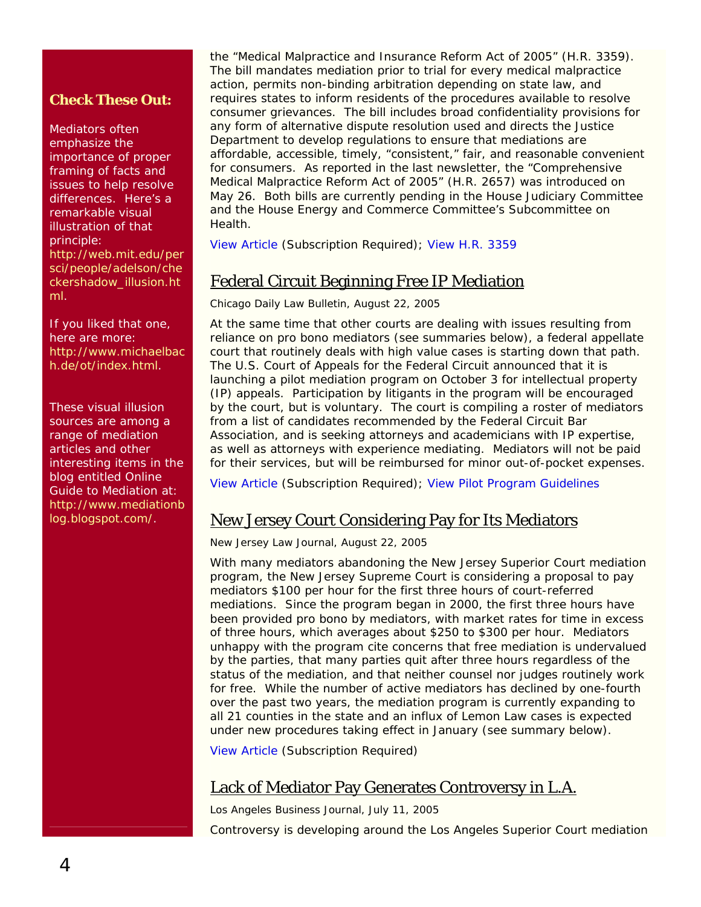### **Check These Out:**

Mediators often emphasize the importance of proper framing of facts and issues to help resolve differences. Here's a remarkable visual illustration of that principle: [http://web.mit.edu/per](http://web.mit.edu/persci/people/adelson/checkershadow_illusion.html) [sci/people/adelson/che](http://web.mit.edu/persci/people/adelson/checkershadow_illusion.html) [ckershadow\\_illusion.ht](http://web.mit.edu/persci/people/adelson/checkershadow_illusion.html) [ml.](http://web.mit.edu/persci/people/adelson/checkershadow_illusion.html)

If you liked that one, here are more: [http://www.michaelbac](http://www.michaelbach.de/ot/index.html) [h.de/ot/index.html](http://www.michaelbach.de/ot/index.html).

These visual illusion sources are among a range of mediation articles and other interesting items in the blog entitled *Online Guide to Mediation* at: [http://www.mediationb](http://www.mediationblog.blogspot.com/) [log.blogspot.com/.](http://www.mediationblog.blogspot.com/)

the "Medical Malpractice and Insurance Reform Act of 2005" (H.R. 3359). The bill mandates mediation prior to trial for every medical malpractice action, permits non-binding arbitration depending on state law, and requires states to inform residents of the procedures available to resolve consumer grievances. The bill includes broad confidentiality provisions for any form of alternative dispute resolution used and directs the Justice Department to develop regulations to ensure that mediations are affordable, accessible, timely, "consistent," fair, and reasonable convenient for consumers. As reported in the last newsletter, the "Comprehensive Medical Malpractice Reform Act of 2005" (H.R. 2657) was introduced on May 26. Both bills are currently pending in the House Judiciary Committee and the House Energy and Commerce Committee's Subcommittee on **Health** 

[View Article](http://www.adrworld.com/sp.asp) (Subscription Required); [View H.R. 3359](http://thomas.loc.gov/cgi-bin/query/z?c109:H.R.+3359)

## Federal Circuit Beginning Free IP Mediation

*Chicago Daily Law Bulletin*, August 22, 2005

At the same time that other courts are dealing with issues resulting from reliance on pro bono mediators (see summaries below), a federal appellate court that routinely deals with high value cases is starting down that path. The U.S. Court of Appeals for the Federal Circuit announced that it is launching a pilot mediation program on October 3 for intellectual property (IP) appeals. Participation by litigants in the program will be encouraged by the court, but is voluntary. The court is compiling a roster of mediators from a list of candidates recommended by the Federal Circuit Bar Association, and is seeking attorneys and academicians with IP expertise, as well as attorneys with experience mediating. Mediators will not be paid for their services, but will be reimbursed for minor out-of-pocket expenses.

[View Article](http://web2.westlaw.com/Find/default.wl?findcite=8%2F22%2F05+chi.+daily+l.+bull.+1&TF=%7B27AE66B7-4EEF-11D5-A99D-000102463493%7D&RS=WLW5.08&VR=2.0&SV=Split&FN=_top&MT=LawSchoolPractitioner&RP=%2FWelcome%2FLawSchoolPractitioner%2Fdefault.wl&TC=%7B7) (Subscription Required); [View Pilot Program Guidelines](http://www.fedcir.gov/guidelines05.pdf)

## New Jersey Court Considering Pay for Its Mediators

*New Jersey Law Journal*, August 22, 2005

With many mediators abandoning the New Jersey Superior Court mediation program, the New Jersey Supreme Court is considering a proposal to pay mediators \$100 per hour for the first three hours of court-referred mediations. Since the program began in 2000, the first three hours have been provided pro bono by mediators, with market rates for time in excess of three hours, which averages about \$250 to \$300 per hour. Mediators unhappy with the program cite concerns that free mediation is undervalued by the parties, that many parties quit after three hours regardless of the status of the mediation, and that neither counsel nor judges routinely work for free. While the number of active mediators has declined by one-fourth over the past two years, the mediation program is currently expanding to all 21 counties in the state and an influx of Lemon Law cases is expected under new procedures taking effect in January (see summary below).

[View Article](http://web2.westlaw.com/Find/default.wl?findcite=181+N.J.L.J.+645&TF=%7B27AE66B7-4EEF-11D5-A99D-000102463493%7D&RS=WLW5.08&VR=2.0&SV=Split&FN=_top&MT=LawSchoolPractitioner&RP=%2FWelcome%2FLawSchoolPractitioner%2Fdefault.wl&TC=%7B7340A334-4EEC-11D5) (Subscription Required)

## Lack of Mediator Pay Generates Controversy in L.A.

*Los Angeles Business Journal*, July 11, 2005

Controversy is developing around the Los Angeles Superior Court mediation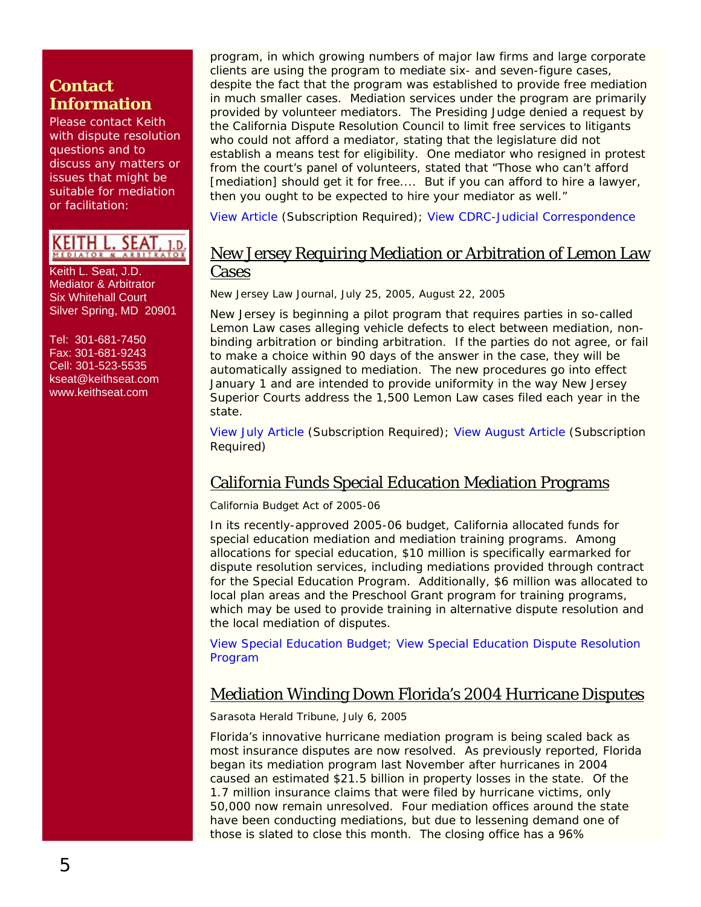## **Contact Information**

Please contact Keith with dispute resolution questions and to discuss any matters or issues that might be suitable for mediation or facilitation:

## KEITH L. SEAT, 1.d.

Keith L. Seat, J.D. Mediator & Arbitrator Six Whitehall Court Silver Spring, MD 20901

Tel: 301-681-7450 Fax: 301-681-9243 Cell: 301-523-5535 [kseat@keithseat.com](mailto:kseat@keithseat.com) [www.keithseat.com](http://www.keithseat.com/)

program, in which growing numbers of major law firms and large corporate clients are using the program to mediate six- and seven-figure cases, despite the fact that the program was established to provide free mediation in much smaller cases. Mediation services under the program are primarily provided by volunteer mediators. The Presiding Judge denied a request by the California Dispute Resolution Council to limit free services to litigants who could not afford a mediator, stating that the legislature did not establish a means test for eligibility. One mediator who resigned in protest from the court's panel of volunteers, stated that "Those who can't afford [mediation] should get it for free.... But if you can afford to hire a lawyer, then you ought to be expected to hire your mediator as well."

[View Article](http://web2.westlaw.com/find/default.wl?mt=LawSchoolPractitioner&fn=_top&sv=Split&cite=2005+WLNR+12749449&rp=%2ffind%2fdefault.wl&vr=2.0&rs=WLW5.08) (Subscription Required); [View CDRC-Judicial Correspondence](http://www.cdrc.net/pg71.cfm)

## New Jersey Requiring Mediation or Arbitration of Lemon Law Cases

*New Jersey Law Journal,* July 25, 2005, August 22, 2005

New Jersey is beginning a pilot program that requires parties in so-called Lemon Law cases alleging vehicle defects to elect between mediation, nonbinding arbitration or binding arbitration. If the parties do not agree, or fail to make a choice within 90 days of the answer in the case, they will be automatically assigned to mediation. The new procedures go into effect January 1 and are intended to provide uniformity in the way New Jersey Superior Courts address the 1,500 Lemon Law cases filed each year in the state.

[View July Article](http://web2.westlaw.com/find/default.wl?mt=LawSchoolPractitioner&fn=_top&sv=Split&cite=181+N.J.L.J.+287&rp=%2ffind%2fdefault.wl&vr=2.0&rs=WLW5.08) (Subscription Required); [View August Article](http://web2.westlaw.com/Find/default.wl?findcite=181+N.J.L.J.+645&TF=%7B27AE66B7-4EEF-11D5-A99D-000102463493%7D&RS=WLW5.08&VR=2.0&SV=Split&FN=_top&MT=LawSchoolPractitioner&RP=%2FWelcome%2FLawSchoolPractitioner%2Fdefault.wl&TC=%7B7340A334-4EEC-11D5) (Subscription Required)

## California Funds Special Education Mediation Programs

#### *California Budget Act of 2005-06*

In its recently-approved 2005-06 budget, California allocated funds for special education mediation and mediation training programs. Among allocations for special education, \$10 million is specifically earmarked for dispute resolution services, including mediations provided through contract for the Special Education Program. Additionally, \$6 million was allocated to local plan areas and the Preschool Grant program for training programs, which may be used to provide training in alternative dispute resolution and the local mediation of disputes.

[View Special Education](http://www.cde.ca.gov/sp/se/as/documents/sebdgt0506.doc) Budget; [View Special Education Dispute Resolution](http://www.cde.ca.gov/ls/cs/k3/dispute.asp)  [Program](http://www.cde.ca.gov/ls/cs/k3/dispute.asp) 

## Mediation Winding Down Florida's 2004 Hurricane Disputes

*Sarasota Herald Tribune*, July 6, 2005

Florida's innovative hurricane mediation program is being scaled back as most insurance disputes are now resolved. As previously reported, Florida began its mediation program last November after hurricanes in 2004 caused an estimated \$21.5 billion in property losses in the state. Of the 1.7 million insurance claims that were filed by hurricane victims, only 50,000 now remain unresolved. Four mediation offices around the state have been conducting mediations, but due to lessening demand one of those is slated to close this month. The closing office has a 96%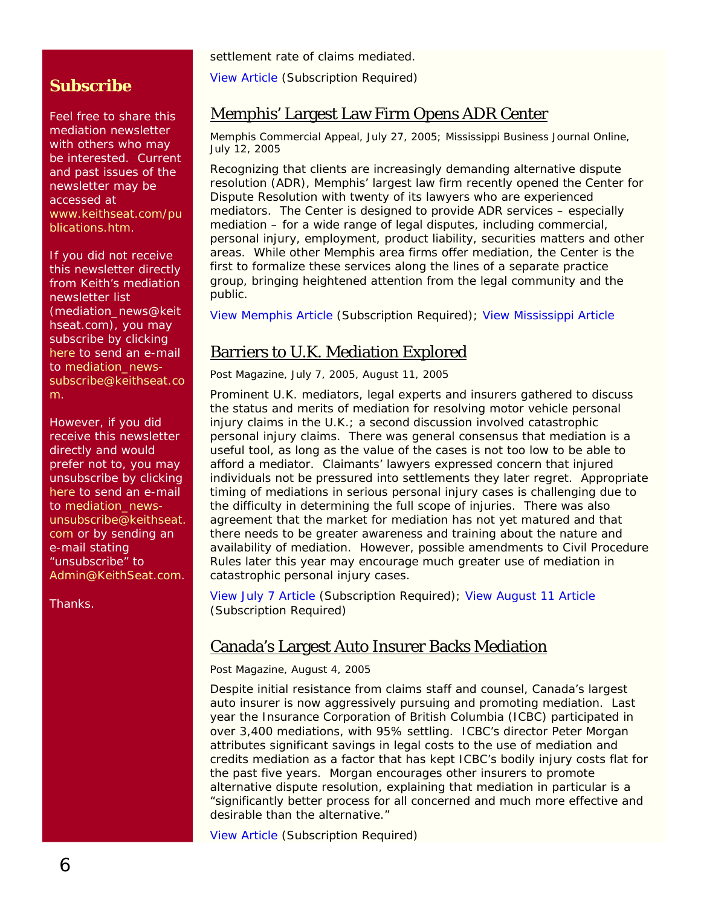settlement rate of claims mediated.

[View Article](http://web2.westlaw.com/welcome/LawSchoolPractitioner/default.wl?ATP=Show&FN=%5Ftop&MT=LawSchoolPractitioner&RS=WLW5%2E08&SV=Split&VR=2%2E0) (Subscription Required)

## Memphis' Largest Law Firm Opens ADR Center

#### *Memphis Commercial Appeal*, July 27, 2005; *Mississippi Business Journal Online*, July 12, 2005

Recognizing that clients are increasingly demanding alternative dispute resolution (ADR), Memphis' largest law firm recently opened the Center for Dispute Resolution with twenty of its lawyers who are experienced mediators. The Center is designed to provide ADR services – especially mediation – for a wide range of legal disputes, including commercial, personal injury, employment, product liability, securities matters and other areas. While other Memphis area firms offer mediation, the Center is the first to formalize these services along the lines of a separate practice group, bringing heightened attention from the legal community and the public.

[View Memphis Article](http://reg.commercialappeal.com/mca/web/loginForm?from=www.commercialappeal.com/mca/business/article/0,1426,MCA_440_3955789,00.html) (Subscription Required); [View Mississippi Article](http://www.msbusiness.com/article.cfm?ID=1838)

## Barriers to U.K. Mediation Explored

*Post Magazine*, July 7, 2005, August 11, 2005

Prominent U.K. mediators, legal experts and insurers gathered to discuss the status and merits of mediation for resolving motor vehicle personal injury claims in the U.K.; a second discussion involved catastrophic personal injury claims. There was general consensus that mediation is a useful tool, as long as the value of the cases is not too low to be able to afford a mediator. Claimants' lawyers expressed concern that injured individuals not be pressured into settlements they later regret. Appropriate timing of mediations in serious personal injury cases is challenging due to the difficulty in determining the full scope of injuries. There was also agreement that the market for mediation has not yet matured and that there needs to be greater awareness and training about the nature and availability of mediation. However, possible amendments to Civil Procedure Rules later this year may encourage much greater use of mediation in catastrophic personal injury cases.

[View July 7 Article](http://web2.westlaw.com/search/default.wl?rltdb=CLID_DB541779&vr=2.0&eq=search&sv=Split&fn=_top&action=Search&origin=Search&mt=LawSchoolPractitioner&rp=%2fsearch%2fdefault.wl&rs=WLW5.08&sskey=CLID_SSSA172079&method=TNC&query=%22post+magazine%22+%2) (Subscription Required); [View August 11 Article](http://web2.westlaw.com/welcome/LawSchoolPractitioner/default.wl?ATP=Show&FN=%5Ftop&MT=LawSchoolPractitioner&RS=WLW5%2E08&SV=Split&VR=2%2E0) (Subscription Required)

## Canada's Largest Auto Insurer Backs Mediation

*Post Magazine*, August 4, 2005

Despite initial resistance from claims staff and counsel, Canada's largest auto insurer is now aggressively pursuing and promoting mediation. Last year the Insurance Corporation of British Columbia (ICBC) participated in over 3,400 mediations, with 95% settling. ICBC's director Peter Morgan attributes significant savings in legal costs to the use of mediation and credits mediation as a factor that has kept ICBC's bodily injury costs flat for the past five years. Morgan encourages other insurers to promote alternative dispute resolution, explaining that mediation in particular is a "significantly better process for all concerned and much more effective and desirable than the alternative."

[View Article](http://db.riskwaters.com/public/showPage.html?validate=0&page=post_login2&url=%2Fpublic%2FshowPage.html%3Fpage%3D289907) (Subscription Required)

## **Subscribe**

Feel free to share this mediation newsletter with others who may be interested. Current and past issues of the newsletter may be accessed at [www.keithseat.com/pu](http://www.keithseat.com/publications.htm) [blications.htm](http://www.keithseat.com/publications.htm).

If you did not receive this newsletter directly from Keith's mediation newsletter list (mediation\_news@keit hseat.com), you may subscribe by clicking [here](mailto:mediation_news-subscribe@keithseat.com) to send an e-mail to [mediation\\_news](mailto:mediation_news-subscribe@keithseat.com)[subscribe@keithseat.co](mailto:mediation_news-subscribe@keithseat.com) [m.](mailto:mediation_news-subscribe@keithseat.com)

However, if you did receive this newsletter directly and would prefer not to, you may unsubscribe by clicking [here](mailto:mediation_news-unsubscribe@keithseat.com) to send an e-mail to mediation news[unsubscribe@keithseat.](mailto:mediation_news-unsubscribe@keithseat.com) [com](mailto:mediation_news-unsubscribe@keithseat.com) or by sending an e-mail stating 'unsubscribe" to [Admin@KeithSeat.com](mailto:Admin@KeithSeat.com).

Thanks.